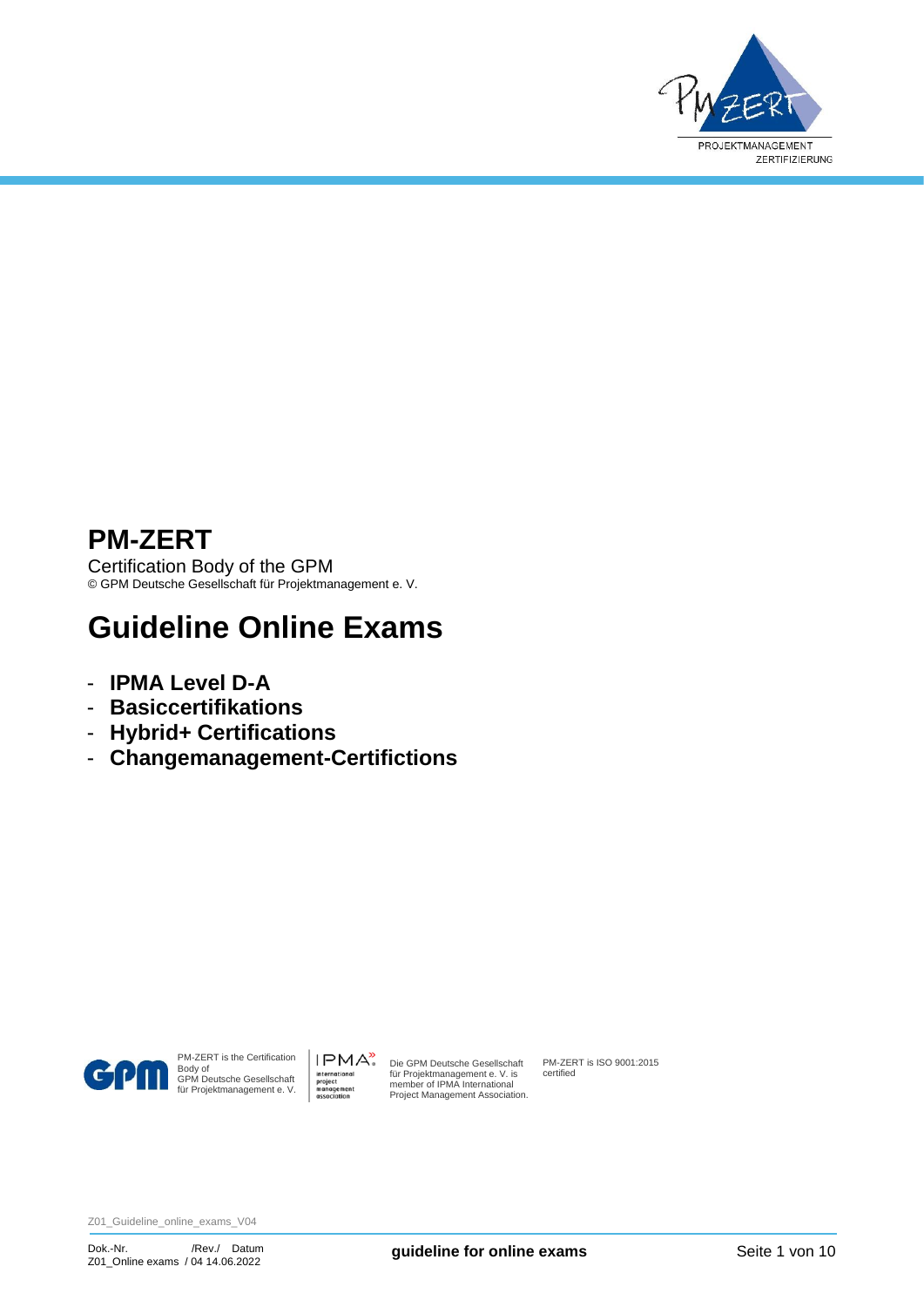

# **PM-ZERT**

Certification Body of the GPM © GPM Deutsche Gesellschaft für Projektmanagement e. V.

# **Guideline Online Exams**

- **IPMA Level D-A**
- **Basiccertifikations**
- **Hybrid+ Certifications**
- **Changemanagement-Certifictions**



PM-ZERT is the Certification Body of GPM Deutsche Gesellschaft für Projektmanagement e. V.



Die GPM Deutsche Gesellschaft für Projektmanagement e. V. is member of IPMA International Project Management Association. PM-ZERT is ISO 9001:2015 certified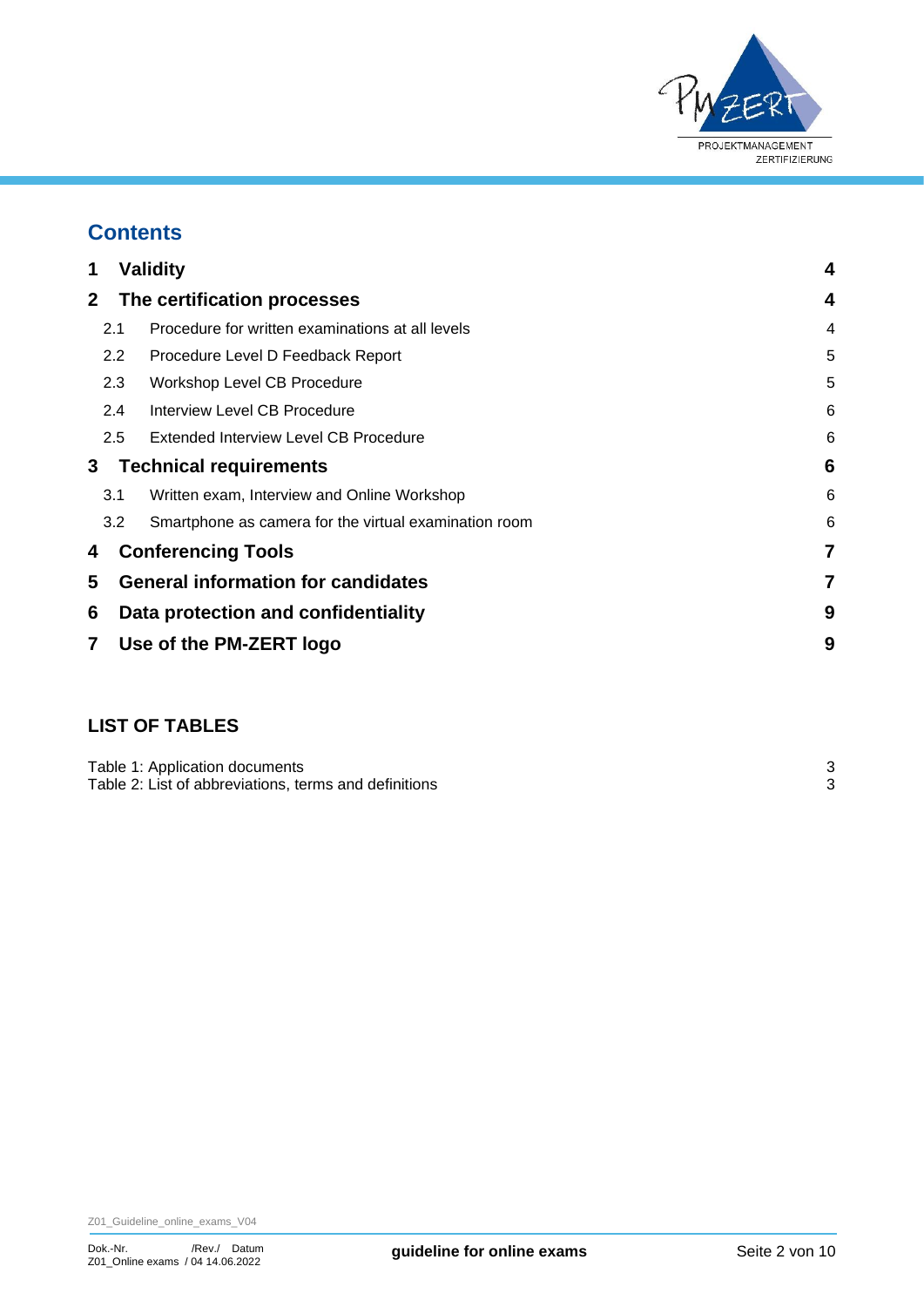

# **Contents**

| 1           |                                           | <b>Validity</b>                                       | 4 |
|-------------|-------------------------------------------|-------------------------------------------------------|---|
| $\mathbf 2$ |                                           | The certification processes                           | 4 |
|             | 2.1                                       | Procedure for written examinations at all levels      | 4 |
|             | $2.2\phantom{0}$                          | Procedure Level D Feedback Report                     | 5 |
|             | 2.3                                       | Workshop Level CB Procedure                           | 5 |
|             | $2.4^{\circ}$                             | Interview Level CB Procedure                          | 6 |
|             | 2.5                                       | Extended Interview Level CB Procedure                 | 6 |
| 3           |                                           | <b>Technical requirements</b>                         | 6 |
|             | 3.1                                       | Written exam, Interview and Online Workshop           | 6 |
|             | 3.2                                       | Smartphone as camera for the virtual examination room | 6 |
| 4           |                                           | <b>Conferencing Tools</b>                             | 7 |
| 5           | <b>General information for candidates</b> |                                                       | 7 |
| 6           | Data protection and confidentiality       |                                                       | 9 |
| 7           |                                           | Use of the PM-ZERT logo                               | 9 |
|             |                                           |                                                       |   |

# **LIST OF TABLES**

| Table 1: Application documents                        |  |
|-------------------------------------------------------|--|
| Table 2: List of abbreviations, terms and definitions |  |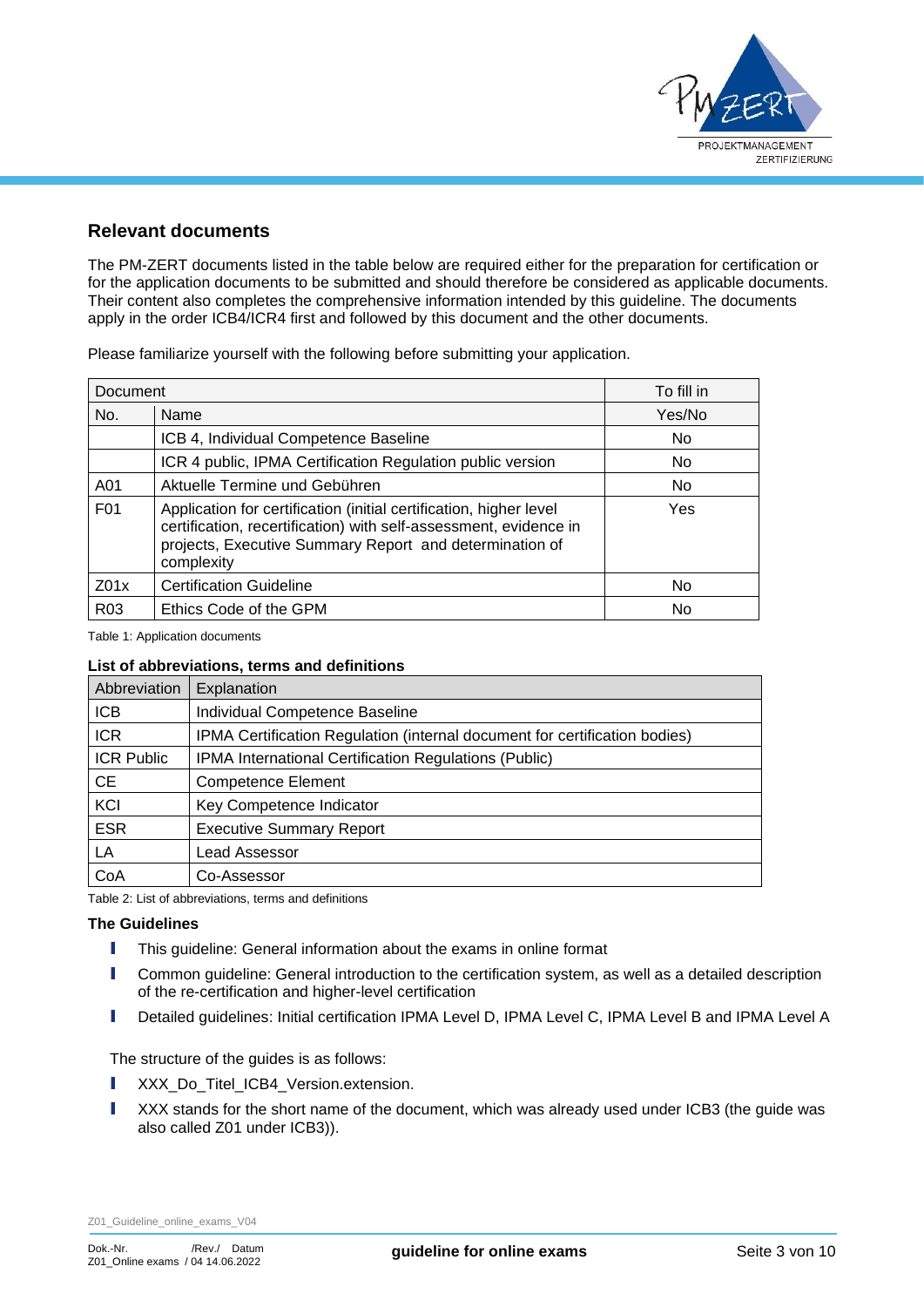

#### **Relevant documents**

The PM-ZERT documents listed in the table below are required either for the preparation for certification or for the application documents to be submitted and should therefore be considered as applicable documents. Their content also completes the comprehensive information intended by this guideline. The documents apply in the order ICB4/ICR4 first and followed by this document and the other documents.

Please familiarize yourself with the following before submitting your application.

| Document         | To fill in                                                                                                                                                                                                       |        |  |
|------------------|------------------------------------------------------------------------------------------------------------------------------------------------------------------------------------------------------------------|--------|--|
| No.              | Name                                                                                                                                                                                                             | Yes/No |  |
|                  | ICB 4, Individual Competence Baseline                                                                                                                                                                            | No     |  |
|                  | ICR 4 public, IPMA Certification Regulation public version                                                                                                                                                       | No.    |  |
| A01              | Aktuelle Termine und Gebühren                                                                                                                                                                                    | No     |  |
| F <sub>0</sub> 1 | Application for certification (initial certification, higher level<br>certification, recertification) with self-assessment, evidence in<br>projects, Executive Summary Report and determination of<br>complexity | Yes    |  |
| Z01x             | <b>Certification Guideline</b>                                                                                                                                                                                   | No     |  |
| R <sub>03</sub>  | Ethics Code of the GPM                                                                                                                                                                                           | No     |  |

<span id="page-2-0"></span>Table 1: Application documents

#### **List of abbreviations, terms and definitions**

| Abbreviation      | Explanation                                                                |
|-------------------|----------------------------------------------------------------------------|
| <b>ICB</b>        | Individual Competence Baseline                                             |
| <b>ICR</b>        | IPMA Certification Regulation (internal document for certification bodies) |
| <b>ICR Public</b> | IPMA International Certification Regulations (Public)                      |
| <b>CE</b>         | <b>Competence Element</b>                                                  |
| KCI               | Key Competence Indicator                                                   |
| <b>ESR</b>        | <b>Executive Summary Report</b>                                            |
| LA                | <b>Lead Assessor</b>                                                       |
| CoA               | Co-Assessor                                                                |

<span id="page-2-1"></span>Table 2: List of abbreviations, terms and definitions

#### **The Guidelines**

- **I** This quideline: General information about the exams in online format
- **I** Common guideline: General introduction to the certification system, as well as a detailed description of the re-certification and higher-level certification
- I Detailed guidelines: Initial certification IPMA Level D, IPMA Level C, IPMA Level B and IPMA Level A

The structure of the guides is as follows:

- **I** XXX Do Titel ICB4 Version.extension.
- I XXX stands for the short name of the document, which was already used under ICB3 (the guide was also called Z01 under ICB3)).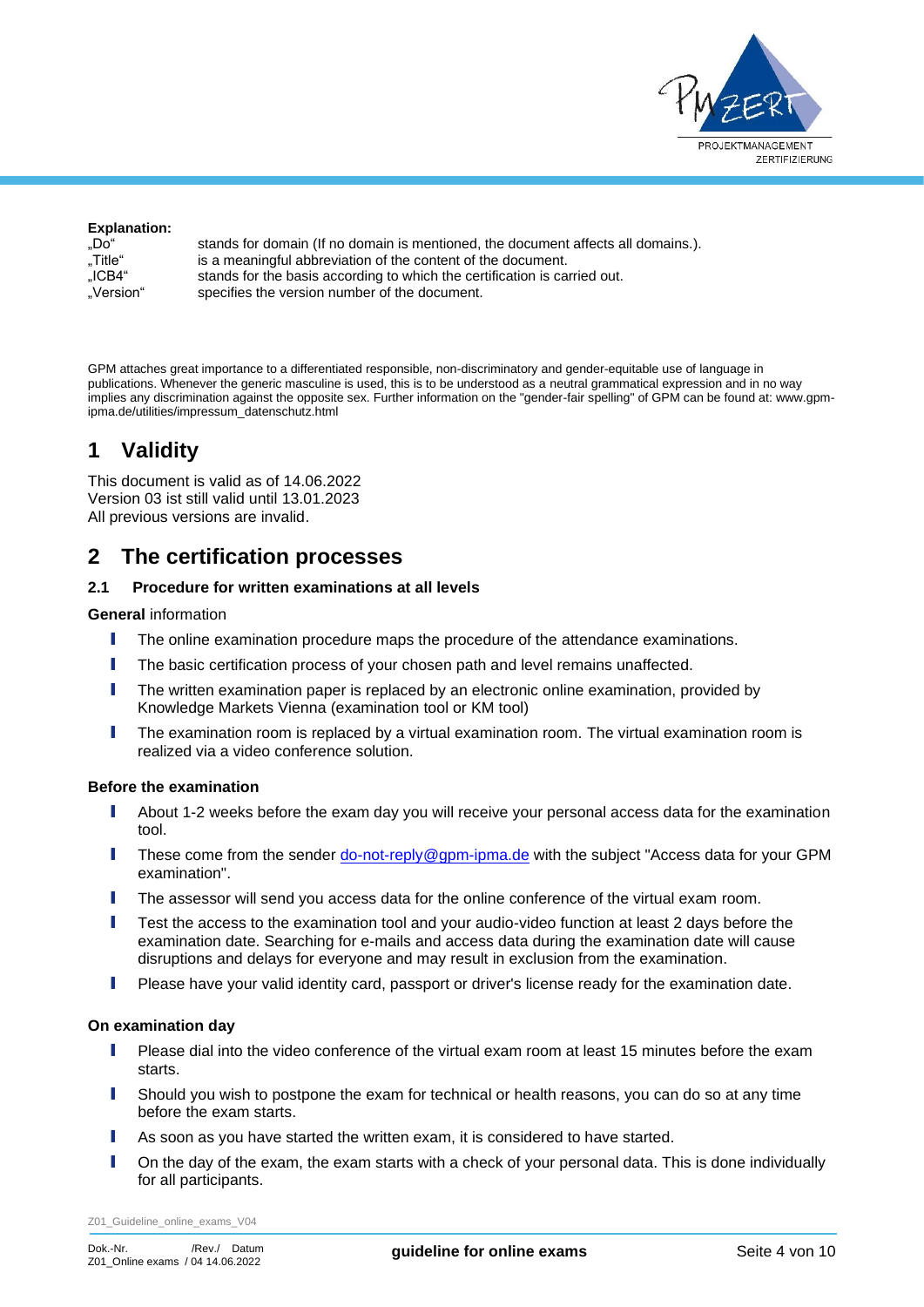

#### **Explanation:**

| "Do"      | stands for domain (If no domain is mentioned, the document affects all domains.). |
|-----------|-----------------------------------------------------------------------------------|
| "Title"   | is a meaningful abbreviation of the content of the document.                      |
| "ICB4"    | stands for the basis according to which the certification is carried out.         |
| "Version" | specifies the version number of the document.                                     |

GPM attaches great importance to a differentiated responsible, non-discriminatory and gender-equitable use of language in publications. Whenever the generic masculine is used, this is to be understood as a neutral grammatical expression and in no way implies any discrimination against the opposite sex. Further information on the "gender-fair spelling" of GPM can be found at: www.gpmipma.de/utilities/impressum\_datenschutz.html

# <span id="page-3-0"></span>**1 Validity**

This document is valid as of 14.06.2022 Version 03 ist still valid until 13.01.2023 All previous versions are invalid.

### <span id="page-3-1"></span>**2 The certification processes**

#### <span id="page-3-2"></span>**2.1 Procedure for written examinations at all levels**

#### **General** information

- **I** The online examination procedure maps the procedure of the attendance examinations.
- **I** The basic certification process of your chosen path and level remains unaffected.
- **I** The written examination paper is replaced by an electronic online examination, provided by Knowledge Markets Vienna (examination tool or KM tool)
- **I** The examination room is replaced by a virtual examination room. The virtual examination room is realized via a video conference solution.

#### **Before the examination**

- I About 1-2 weeks before the exam day you will receive your personal access data for the examination tool.
- I These come from the sender [do-not-reply@gpm-ipma.de](mailto:do-not-reply@gpm-ipma.de) with the subject "Access data for your GPM examination".
- The assessor will send you access data for the online conference of the virtual exam room.
- I Test the access to the examination tool and your audio-video function at least 2 days before the examination date. Searching for e-mails and access data during the examination date will cause disruptions and delays for everyone and may result in exclusion from the examination.
- I Please have your valid identity card, passport or driver's license ready for the examination date.

#### **On examination day**

- Please dial into the video conference of the virtual exam room at least 15 minutes before the exam starts.
- Should you wish to postpone the exam for technical or health reasons, you can do so at any time before the exam starts.
- As soon as you have started the written exam, it is considered to have started.
- I On the day of the exam, the exam starts with a check of your personal data. This is done individually for all participants.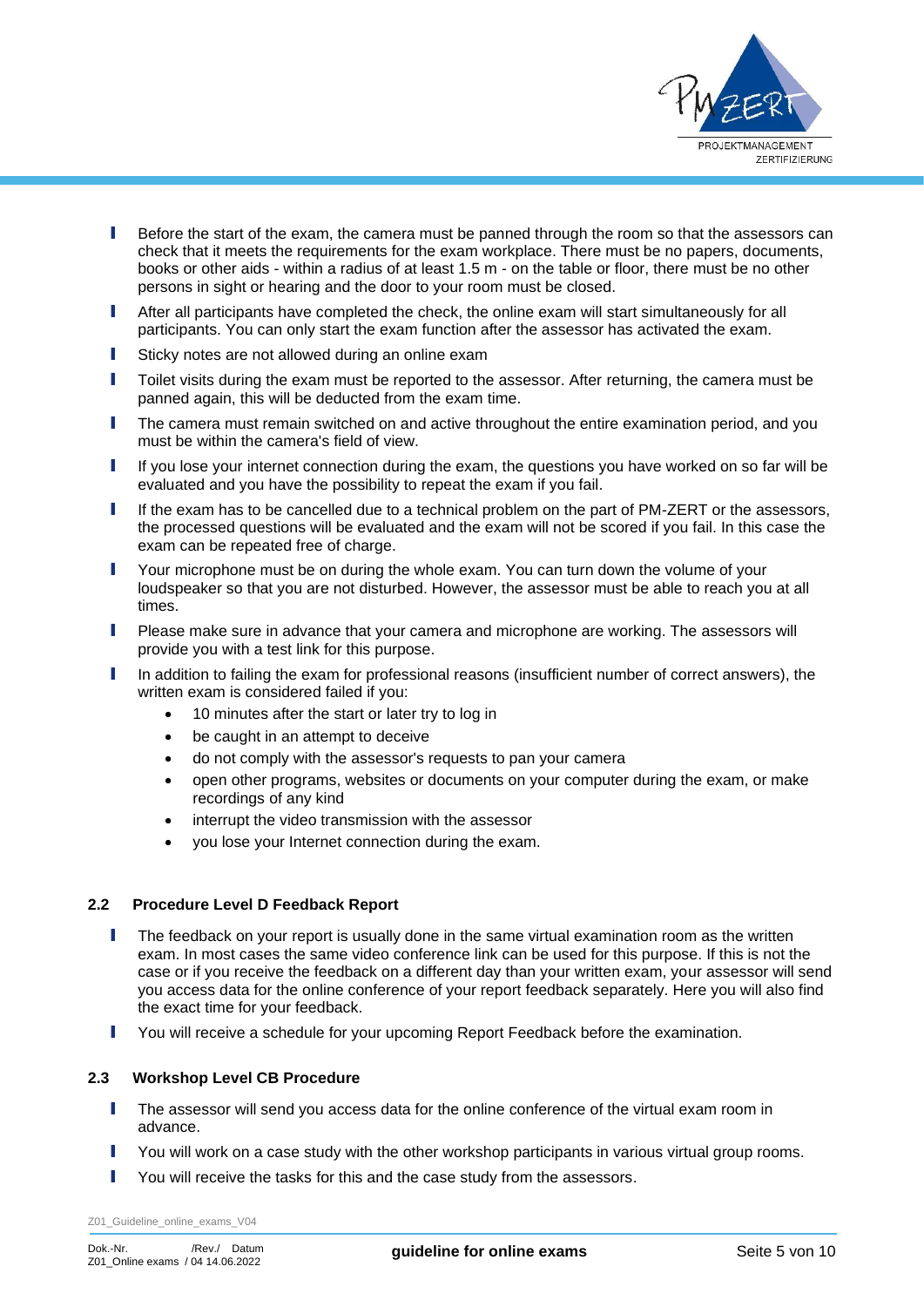

- I Before the start of the exam, the camera must be panned through the room so that the assessors can check that it meets the requirements for the exam workplace. There must be no papers, documents, books or other aids - within a radius of at least 1.5 m - on the table or floor, there must be no other persons in sight or hearing and the door to your room must be closed.
- I After all participants have completed the check, the online exam will start simultaneously for all participants. You can only start the exam function after the assessor has activated the exam.
- **I** Sticky notes are not allowed during an online exam
- **I** Toilet visits during the exam must be reported to the assessor. After returning, the camera must be panned again, this will be deducted from the exam time.
- **I** The camera must remain switched on and active throughout the entire examination period, and you must be within the camera's field of view.
- If you lose your internet connection during the exam, the questions you have worked on so far will be evaluated and you have the possibility to repeat the exam if you fail.
- If the exam has to be cancelled due to a technical problem on the part of PM-ZERT or the assessors, the processed questions will be evaluated and the exam will not be scored if you fail. In this case the exam can be repeated free of charge.
- I Your microphone must be on during the whole exam. You can turn down the volume of your loudspeaker so that you are not disturbed. However, the assessor must be able to reach you at all times.
- Please make sure in advance that your camera and microphone are working. The assessors will provide you with a test link for this purpose.
- In addition to failing the exam for professional reasons (insufficient number of correct answers), the written exam is considered failed if you:
	- 10 minutes after the start or later try to log in
	- be caught in an attempt to deceive
	- do not comply with the assessor's requests to pan your camera
	- open other programs, websites or documents on your computer during the exam, or make recordings of any kind
	- interrupt the video transmission with the assessor
	- you lose your Internet connection during the exam.

#### <span id="page-4-0"></span>**2.2 Procedure Level D Feedback Report**

- I The feedback on your report is usually done in the same virtual examination room as the written exam. In most cases the same video conference link can be used for this purpose. If this is not the case or if you receive the feedback on a different day than your written exam, your assessor will send you access data for the online conference of your report feedback separately. Here you will also find the exact time for your feedback.
- I You will receive a schedule for your upcoming Report Feedback before the examination.

#### <span id="page-4-1"></span>**2.3 Workshop Level CB Procedure**

- I The assessor will send you access data for the online conference of the virtual exam room in advance.
- I You will work on a case study with the other workshop participants in various virtual group rooms.
- **I** You will receive the tasks for this and the case study from the assessors.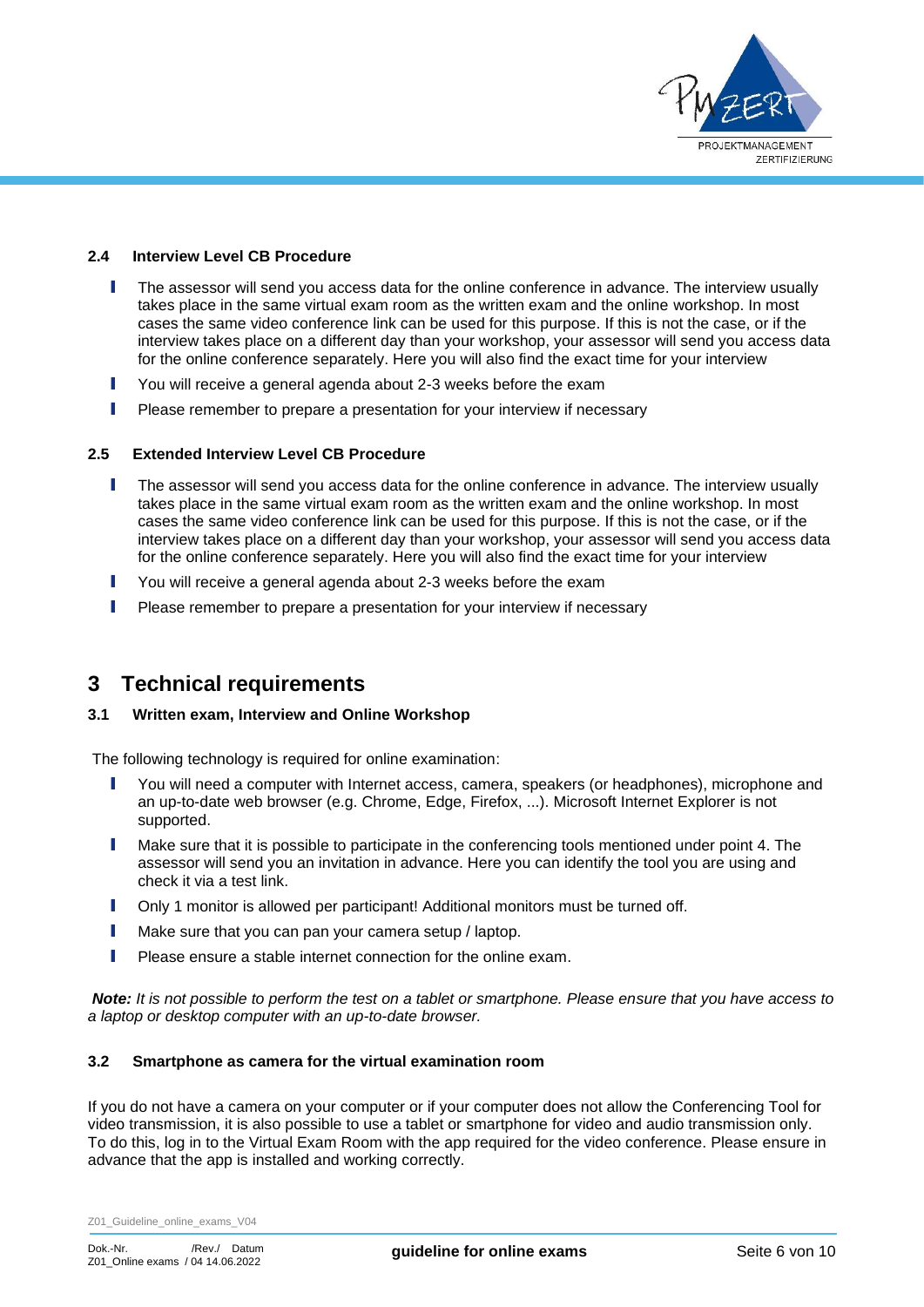

#### <span id="page-5-0"></span>**2.4 Interview Level CB Procedure**

- I The assessor will send you access data for the online conference in advance. The interview usually takes place in the same virtual exam room as the written exam and the online workshop. In most cases the same video conference link can be used for this purpose. If this is not the case, or if the interview takes place on a different day than your workshop, your assessor will send you access data for the online conference separately. Here you will also find the exact time for your interview
- I You will receive a general agenda about 2-3 weeks before the exam
- **I** Please remember to prepare a presentation for your interview if necessary

#### <span id="page-5-1"></span>**2.5 Extended Interview Level CB Procedure**

- I The assessor will send you access data for the online conference in advance. The interview usually takes place in the same virtual exam room as the written exam and the online workshop. In most cases the same video conference link can be used for this purpose. If this is not the case, or if the interview takes place on a different day than your workshop, your assessor will send you access data for the online conference separately. Here you will also find the exact time for your interview
- I You will receive a general agenda about 2-3 weeks before the exam
- **I** Please remember to prepare a presentation for your interview if necessary

### <span id="page-5-2"></span>**3 Technical requirements**

#### <span id="page-5-3"></span>**3.1 Written exam, Interview and Online Workshop**

The following technology is required for online examination:

- You will need a computer with Internet access, camera, speakers (or headphones), microphone and an up-to-date web browser (e.g. Chrome, Edge, Firefox, ...). Microsoft Internet Explorer is not supported.
- Make sure that it is possible to participate in the conferencing tools mentioned under point 4. The assessor will send you an invitation in advance. Here you can identify the tool you are using and check it via a test link.
- **I** Only 1 monitor is allowed per participant! Additional monitors must be turned off.
- I Make sure that you can pan your camera setup / laptop.
- **I** Please ensure a stable internet connection for the online exam.

*Note: It is not possible to perform the test on a tablet or smartphone. Please ensure that you have access to a laptop or desktop computer with an up-to-date browser.*

#### <span id="page-5-4"></span>**3.2 Smartphone as camera for the virtual examination room**

If you do not have a camera on your computer or if your computer does not allow the Conferencing Tool for video transmission, it is also possible to use a tablet or smartphone for video and audio transmission only. To do this, log in to the Virtual Exam Room with the app required for the video conference. Please ensure in advance that the app is installed and working correctly.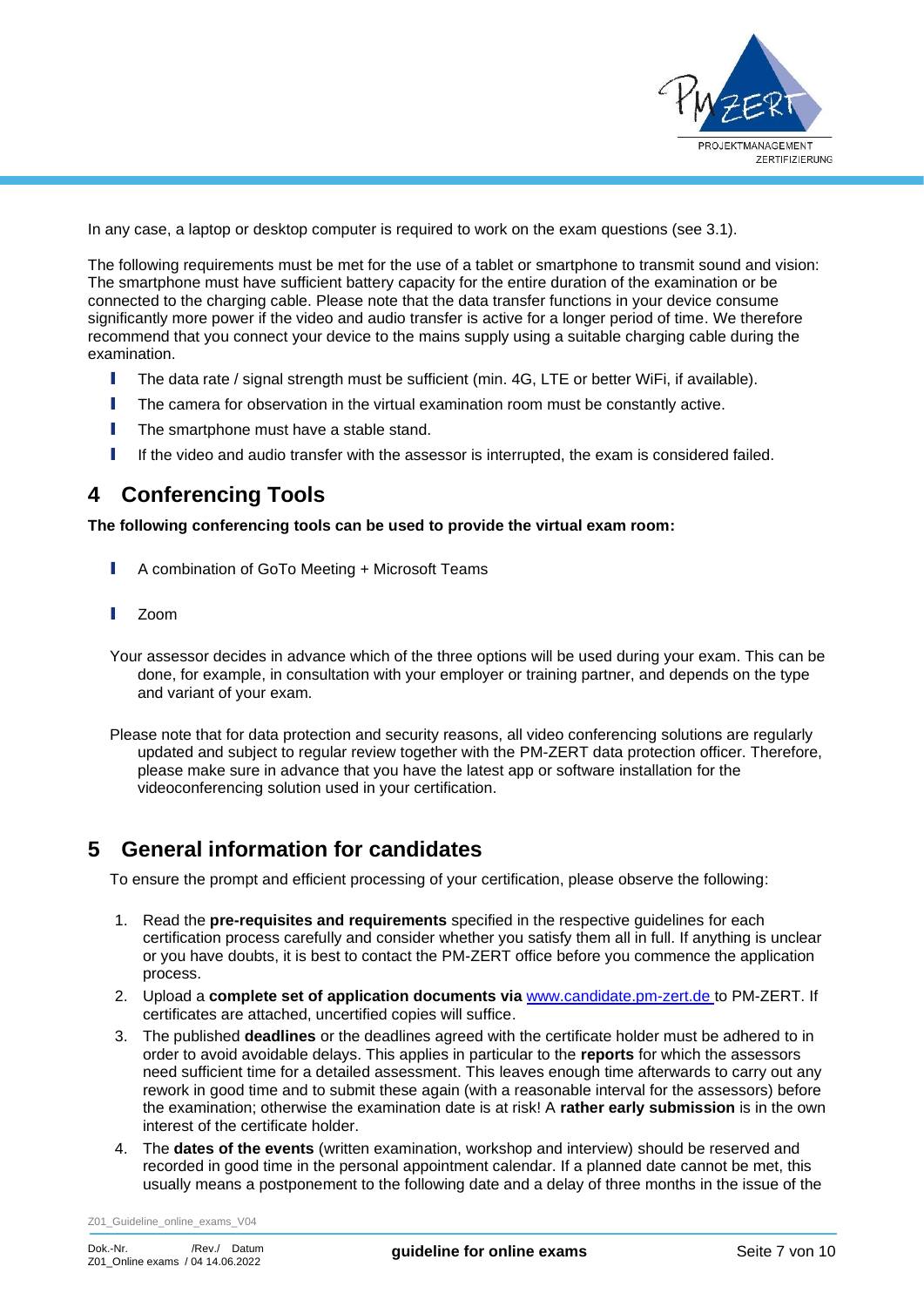

In any case, a laptop or desktop computer is required to work on the exam questions (see 3.1).

The following requirements must be met for the use of a tablet or smartphone to transmit sound and vision: The smartphone must have sufficient battery capacity for the entire duration of the examination or be connected to the charging cable. Please note that the data transfer functions in your device consume significantly more power if the video and audio transfer is active for a longer period of time. We therefore recommend that you connect your device to the mains supply using a suitable charging cable during the examination.

- The data rate / signal strength must be sufficient (min. 4G, LTE or better WiFi, if available).
- **I** The camera for observation in the virtual examination room must be constantly active.
- The smartphone must have a stable stand.
- I If the video and audio transfer with the assessor is interrupted, the exam is considered failed.

# <span id="page-6-0"></span>**4 Conferencing Tools**

**The following conferencing tools can be used to provide the virtual exam room:**

- I A combination of GoTo Meeting + Microsoft Teams
- I Zoom

Your assessor decides in advance which of the three options will be used during your exam. This can be done, for example, in consultation with your employer or training partner, and depends on the type and variant of your exam.

Please note that for data protection and security reasons, all video conferencing solutions are regularly updated and subject to regular review together with the PM-ZERT data protection officer. Therefore, please make sure in advance that you have the latest app or software installation for the videoconferencing solution used in your certification.

# <span id="page-6-1"></span>**5 General information for candidates**

To ensure the prompt and efficient processing of your certification, please observe the following:

- 1. Read the **pre-requisites and requirements** specified in the respective guidelines for each certification process carefully and consider whether you satisfy them all in full. If anything is unclear or you have doubts, it is best to contact the PM-ZERT office before you commence the application process.
- 2. Upload a **complete set of application documents via** [www.candidate.pm-zert.de](http://www.candidate.pm-zert.de/) to PM-ZERT. If certificates are attached, uncertified copies will suffice.
- 3. The published **deadlines** or the deadlines agreed with the certificate holder must be adhered to in order to avoid avoidable delays. This applies in particular to the **reports** for which the assessors need sufficient time for a detailed assessment. This leaves enough time afterwards to carry out any rework in good time and to submit these again (with a reasonable interval for the assessors) before the examination; otherwise the examination date is at risk! A **rather early submission** is in the own interest of the certificate holder.
- 4. The **dates of the events** (written examination, workshop and interview) should be reserved and recorded in good time in the personal appointment calendar. If a planned date cannot be met, this usually means a postponement to the following date and a delay of three months in the issue of the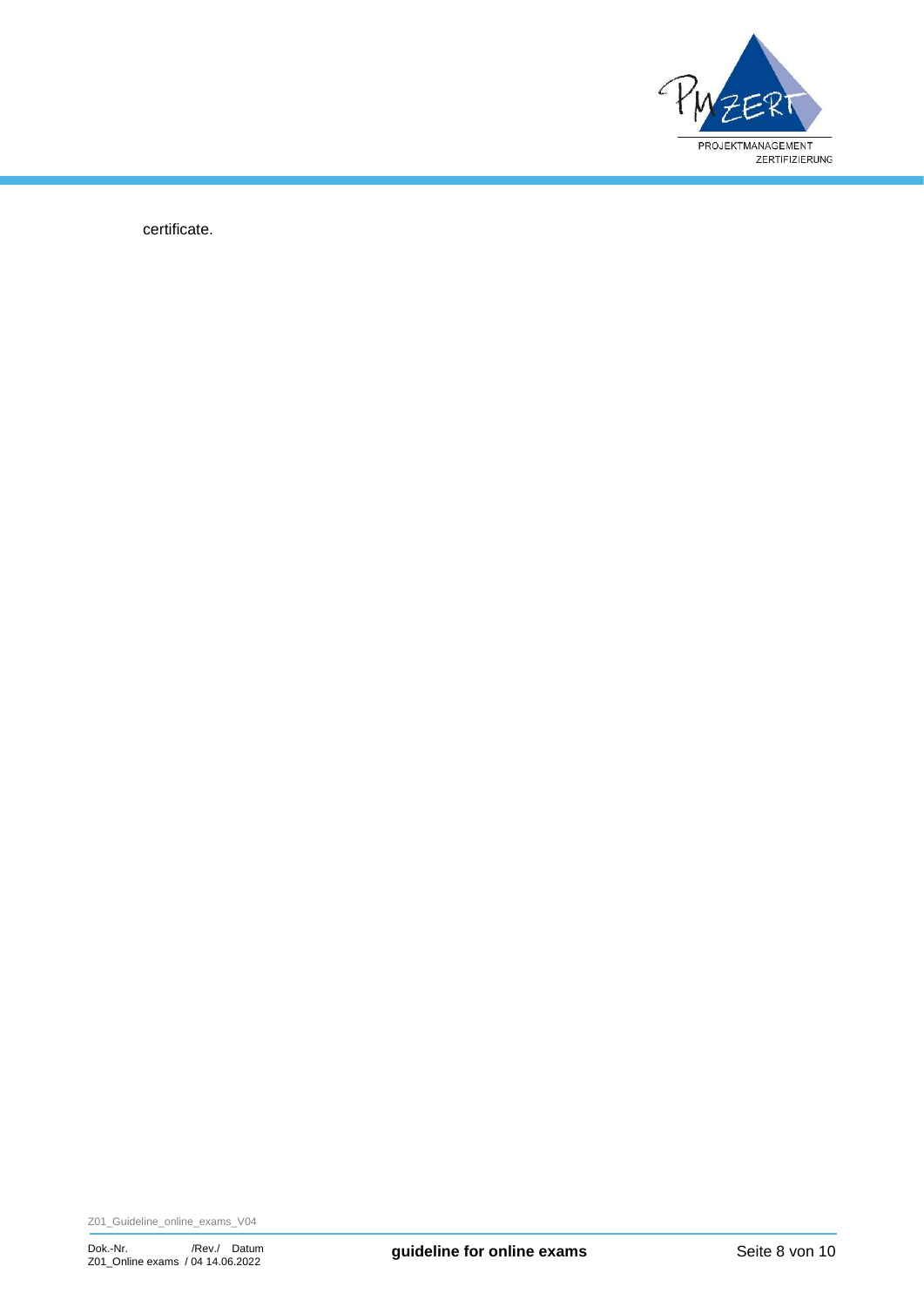

certificate.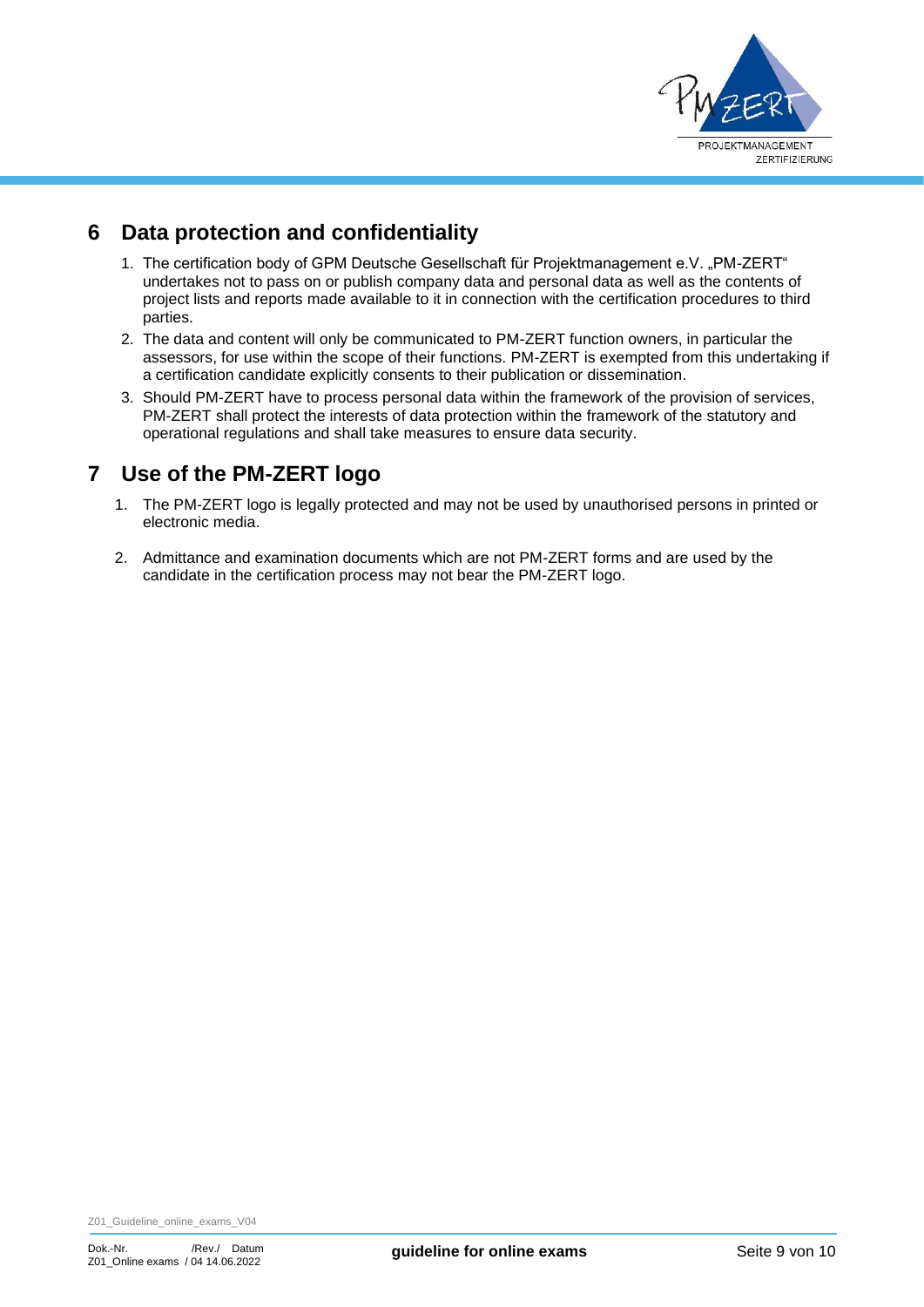

# <span id="page-8-0"></span>**6 Data protection and confidentiality**

- 1. The certification body of GPM Deutsche Gesellschaft für Projektmanagement e.V. "PM-ZERT" undertakes not to pass on or publish company data and personal data as well as the contents of project lists and reports made available to it in connection with the certification procedures to third parties.
- 2. The data and content will only be communicated to PM-ZERT function owners, in particular the assessors, for use within the scope of their functions. PM-ZERT is exempted from this undertaking if a certification candidate explicitly consents to their publication or dissemination.
- 3. Should PM-ZERT have to process personal data within the framework of the provision of services, PM-ZERT shall protect the interests of data protection within the framework of the statutory and operational regulations and shall take measures to ensure data security.

# <span id="page-8-1"></span>**7 Use of the PM-ZERT logo**

- 1. The PM-ZERT logo is legally protected and may not be used by unauthorised persons in printed or electronic media.
- 2. Admittance and examination documents which are not PM-ZERT forms and are used by the candidate in the certification process may not bear the PM-ZERT logo.